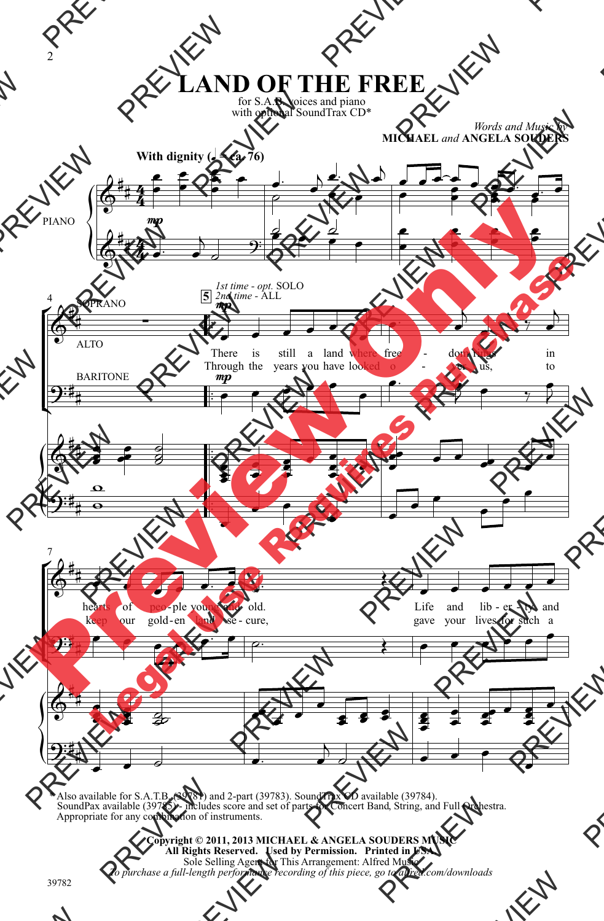**LAND OF THE FREE**

for S.A.B. voices and piano with optional SoundTrax CD\*

*Words and Music by* **MICHAEL** *and* **ANGELA SOUDERS**



\* Also available for S.A.T.B. (39781) and 2-part (39783). SoundTrax CD available (39784). SoundPax available (39785) - includes score and set of parts for Concert Band, String, and Full Orchestra. Appropriate for any combination of instruments.

> **Copyright © 2011, 2013 MICHAEL & ANGELA SOUDERS MUSIC All Rights Reserved. Used by Permission. Printed in USA.** Sole Selling Agent for This Arrangement: Alfred Music *To purchase a full-length performance recording of this piece, go to alfred.com/downloads*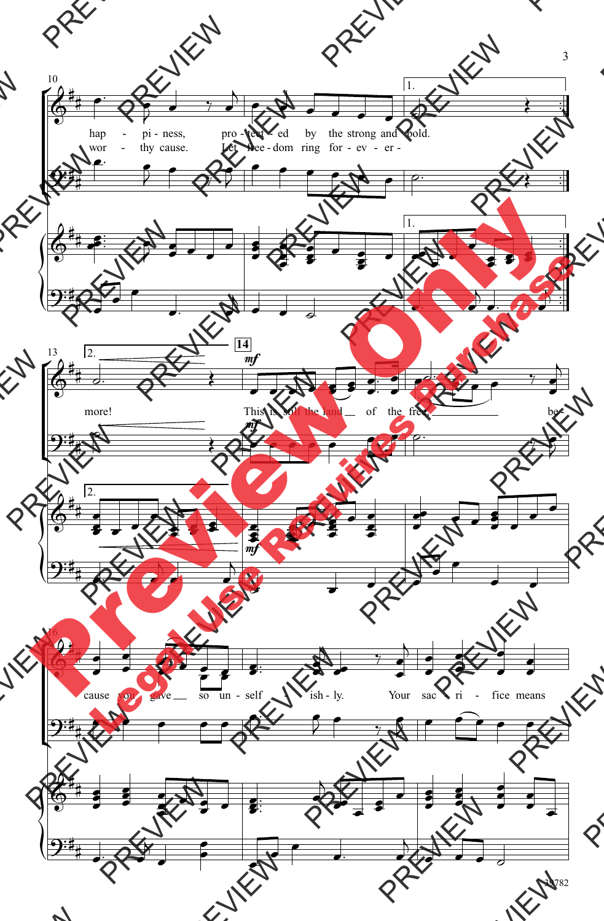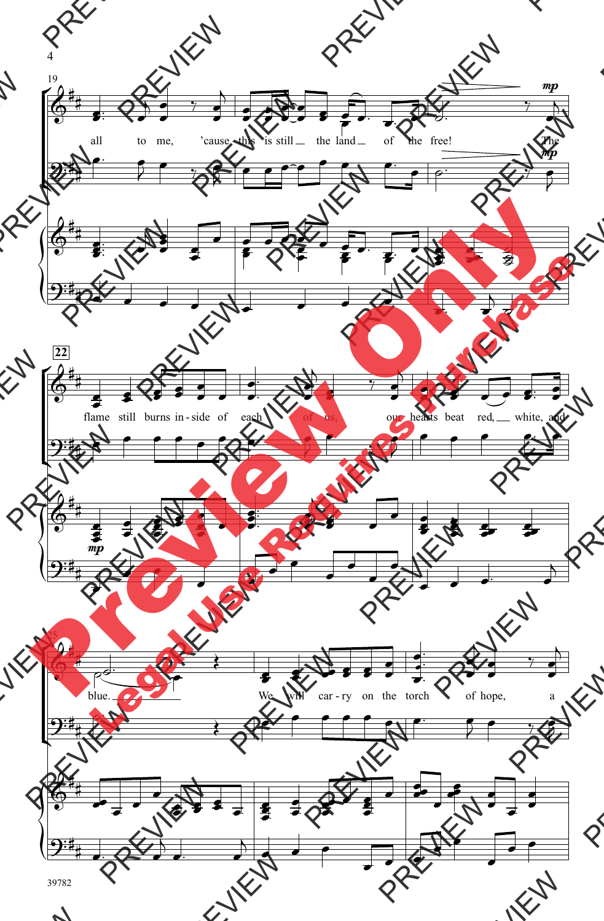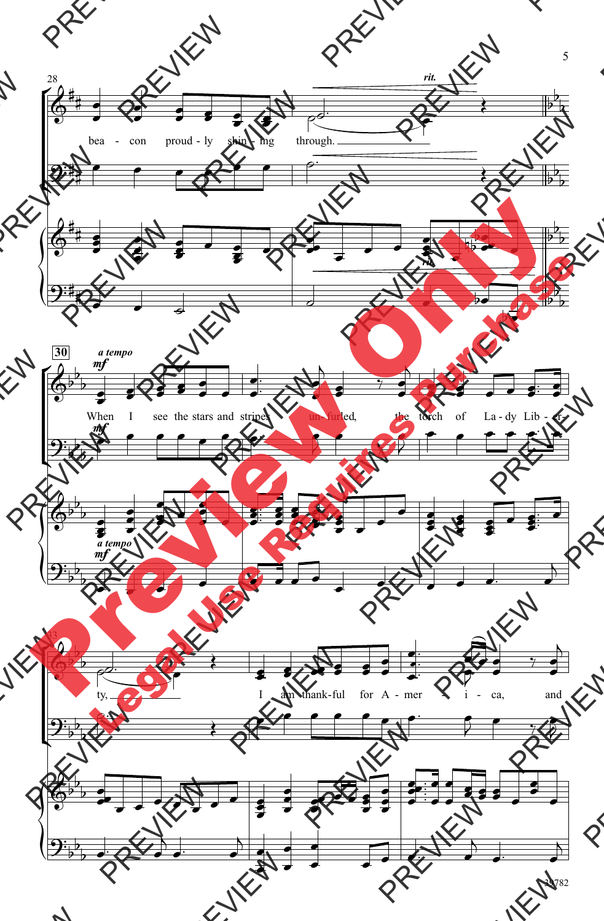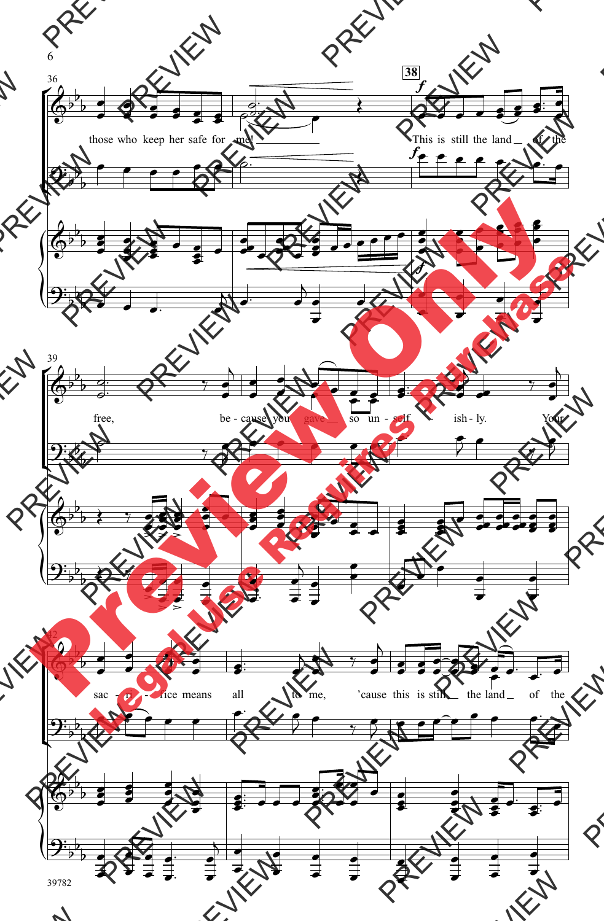